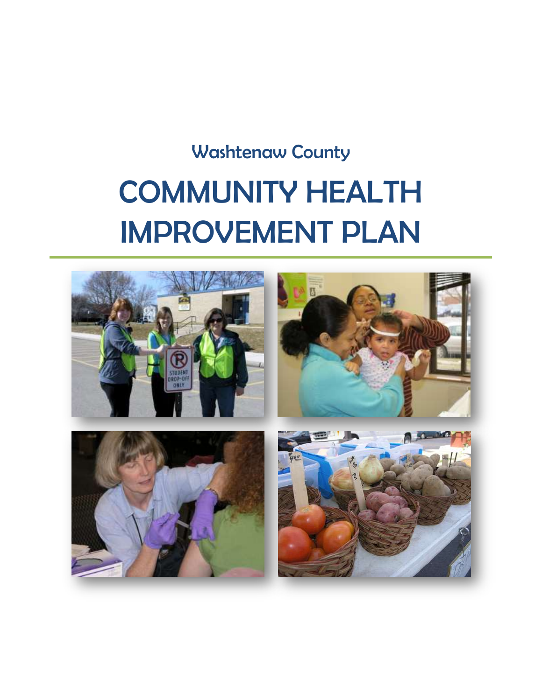# Washtenaw County COMMUNITY HEALTH IMPROVEMENT PLAN

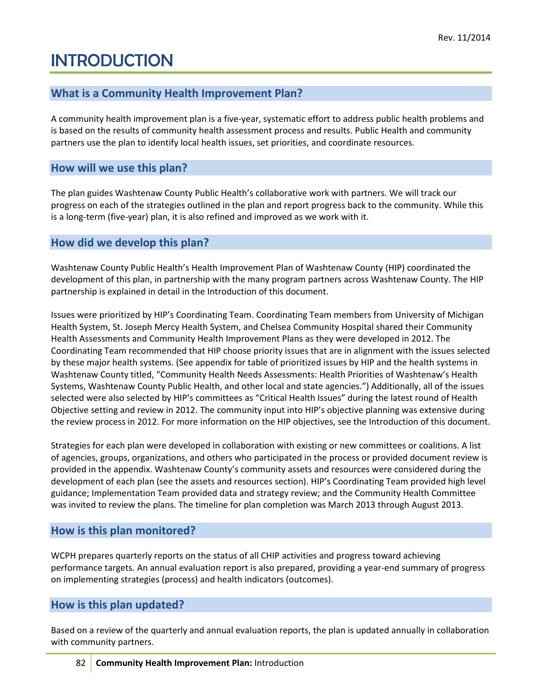# INTRODUCTION

# **What is a Community Health Improvement Plan?**

A community health improvement plan is a five-year, systematic effort to address public health problems and is based on the results of community health assessment process and results. Public Health and community partners use the plan to identify local health issues, set priorities, and coordinate resources.

# **How will we use this plan?**

The plan guides Washtenaw County Public Health's collaborative work with partners. We will track our progress on each of the strategies outlined in the plan and report progress back to the community. While this is a long-term (five-year) plan, it is also refined and improved as we work with it.

# **How did we develop this plan?**

Washtenaw County Public Health's Health Improvement Plan of Washtenaw County (HIP) coordinated the development of this plan, in partnership with the many program partners across Washtenaw County. The HIP partnership is explained in detail in the Introduction of this document.

Issues were prioritized by HIP's Coordinating Team. Coordinating Team members from University of Michigan Health System, St. Joseph Mercy Health System, and Chelsea Community Hospital shared their Community Health Assessments and Community Health Improvement Plans as they were developed in 2012. The Coordinating Team recommended that HIP choose priority issues that are in alignment with the issues selected by these major health systems. (See appendix for table of prioritized issues by HIP and the health systems in Washtenaw County titled, "Community Health Needs Assessments: Health Priorities of Washtenaw's Health Systems, Washtenaw County Public Health, and other local and state agencies.") Additionally, all of the issues selected were also selected by HIP's committees as "Critical Health Issues" during the latest round of Health Objective setting and review in 2012. The community input into HIP's objective planning was extensive during the review process in 2012. For more information on the HIP objectives, see the Introduction of this document.

Strategies for each plan were developed in collaboration with existing or new committees or coalitions. A list of agencies, groups, organizations, and others who participated in the process or provided document review is provided in the appendix. Washtenaw County's community assets and resources were considered during the development of each plan (see the assets and resources section). HIP's Coordinating Team provided high level guidance; Implementation Team provided data and strategy review; and the Community Health Committee was invited to review the plans. The timeline for plan completion was March 2013 through August 2013.

## **How is this plan monitored?**

WCPH prepares quarterly reports on the status of all CHIP activities and progress toward achieving performance targets. An annual evaluation report is also prepared, providing a year-end summary of progress on implementing strategies (process) and health indicators (outcomes).

# **How is this plan updated?**

Based on a review of the quarterly and annual evaluation reports, the plan is updated annually in collaboration with community partners.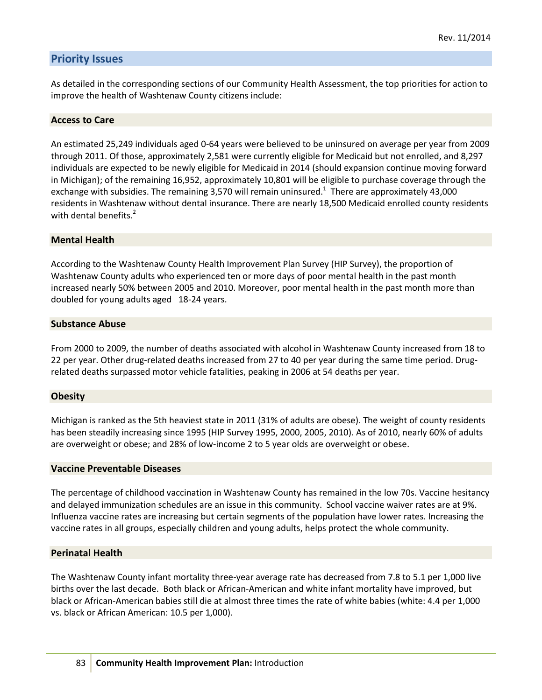### **Priority Issues**

As detailed in the corresponding sections of our Community Health Assessment, the top priorities for action to improve the health of Washtenaw County citizens include:

#### **Access to Care**

An estimated 25,249 individuals aged 0-64 years were believed to be uninsured on average per year from 2009 through 2011. Of those, approximately 2,581 were currently eligible for Medicaid but not enrolled, and 8,297 individuals are expected to be newly eligible for Medicaid in 2014 (should expansion continue moving forward in Michigan); of the remaining 16,952, approximately 10,801 will be eligible to purchase coverage through the exchange with subsidies. The remaining 3,570 will remain uninsured.<sup>1</sup> There are approximately 43,000 residents in Washtenaw without dental insurance. There are nearly 18,500 Medicaid enrolled county residents with dental benefits. $<sup>2</sup>$ </sup>

#### **Mental Health**

According to the Washtenaw County Health Improvement Plan Survey (HIP Survey), the proportion of Washtenaw County adults who experienced ten or more days of poor mental health in the past month increased nearly 50% between 2005 and 2010. Moreover, poor mental health in the past month more than doubled for young adults aged 18-24 years.

#### **Substance Abuse**

From 2000 to 2009, the number of deaths associated with alcohol in Washtenaw County increased from 18 to 22 per year. Other drug-related deaths increased from 27 to 40 per year during the same time period. Drugrelated deaths surpassed motor vehicle fatalities, peaking in 2006 at 54 deaths per year.

#### **Obesity**

Michigan is ranked as the 5th heaviest state in 2011 (31% of adults are obese). The weight of county residents has been steadily increasing since 1995 (HIP Survey 1995, 2000, 2005, 2010). As of 2010, nearly 60% of adults are overweight or obese; and 28% of low-income 2 to 5 year olds are overweight or obese.

#### **Vaccine Preventable Diseases**

The percentage of childhood vaccination in Washtenaw County has remained in the low 70s. Vaccine hesitancy and delayed immunization schedules are an issue in this community. School vaccine waiver rates are at 9%. Influenza vaccine rates are increasing but certain segments of the population have lower rates. Increasing the vaccine rates in all groups, especially children and young adults, helps protect the whole community.

#### **Perinatal Health**

The Washtenaw County infant mortality three-year average rate has decreased from 7.8 to 5.1 per 1,000 live births over the last decade. Both black or African-American and white infant mortality have improved, but black or African-American babies still die at almost three times the rate of white babies (white: 4.4 per 1,000 vs. black or African American: 10.5 per 1,000).